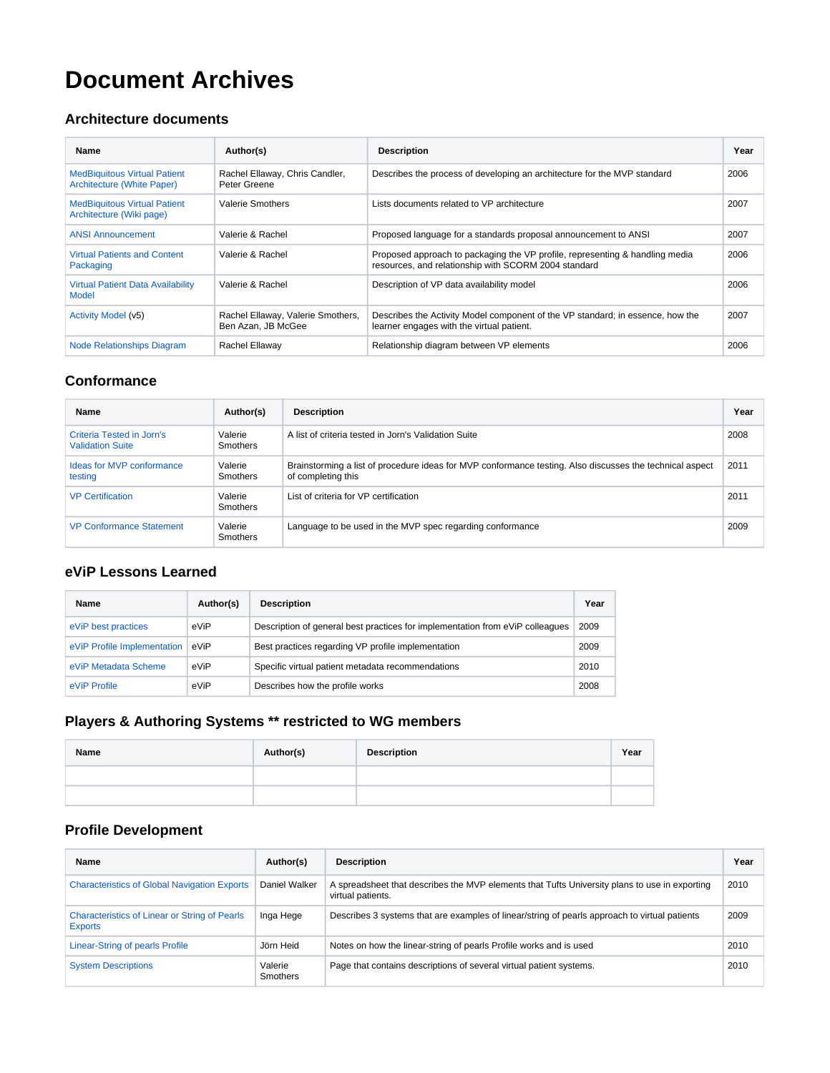# **Document Archives**

#### **Architecture documents**

| <b>Name</b>                                                       | Author(s)                                               | <b>Description</b>                                                                                                                   | Year |
|-------------------------------------------------------------------|---------------------------------------------------------|--------------------------------------------------------------------------------------------------------------------------------------|------|
| <b>MedBiquitous Virtual Patient</b><br>Architecture (White Paper) | Rachel Ellaway, Chris Candler,<br>Peter Greene          | Describes the process of developing an architecture for the MVP standard                                                             | 2006 |
| <b>MedBiquitous Virtual Patient</b><br>Architecture (Wiki page)   | <b>Valerie Smothers</b>                                 | Lists documents related to VP architecture                                                                                           | 2007 |
| <b>ANSI Announcement</b>                                          | Valerie & Rachel                                        | Proposed language for a standards proposal announcement to ANSI                                                                      | 2007 |
| <b>Virtual Patients and Content</b><br>Packaging                  | Valerie & Rachel                                        | Proposed approach to packaging the VP profile, representing & handling media<br>resources, and relationship with SCORM 2004 standard | 2006 |
| <b>Virtual Patient Data Availability</b><br><b>Model</b>          | Valerie & Rachel                                        | Description of VP data availability model                                                                                            | 2006 |
| Activity Model (v5)                                               | Rachel Ellaway, Valerie Smothers,<br>Ben Azan, JB McGee | Describes the Activity Model component of the VP standard; in essence, how the<br>learner engages with the virtual patient.          | 2007 |
| <b>Node Relationships Diagram</b>                                 | Rachel Ellaway                                          | Relationship diagram between VP elements                                                                                             | 2006 |

#### **Conformance**

| Name                                                 | Author(s)                  | <b>Description</b>                                                                                                             | Year |
|------------------------------------------------------|----------------------------|--------------------------------------------------------------------------------------------------------------------------------|------|
| Criteria Tested in Jorn's<br><b>Validation Suite</b> | Valerie<br><b>Smothers</b> | A list of criteria tested in Jorn's Validation Suite                                                                           | 2008 |
| Ideas for MVP conformance<br>testing                 | Valerie<br><b>Smothers</b> | Brainstorming a list of procedure ideas for MVP conformance testing. Also discusses the technical aspect<br>of completing this | 2011 |
| <b>VP Certification</b>                              | Valerie<br><b>Smothers</b> | List of criteria for VP certification                                                                                          | 2011 |
| <b>VP Conformance Statement</b>                      | Valerie<br><b>Smothers</b> | Language to be used in the MVP spec regarding conformance                                                                      | 2009 |

#### **eViP Lessons Learned**

| Name                        | Author(s) | <b>Description</b>                                                            | Year |
|-----------------------------|-----------|-------------------------------------------------------------------------------|------|
| eViP best practices         | eViP      | Description of general best practices for implementation from eViP colleagues | 2009 |
| eViP Profile Implementation | eViP      | Best practices regarding VP profile implementation                            | 2009 |
| eViP Metadata Scheme        | eViP      | Specific virtual patient metadata recommendations                             | 2010 |
| eViP Profile                | eViP      | Describes how the profile works                                               | 2008 |

## **Players & Authoring Systems \*\* restricted to WG members**

| Name | Author(s) | <b>Description</b> | Year |
|------|-----------|--------------------|------|
|      |           |                    |      |
|      |           |                    |      |

### **Profile Development**

| Name                                                                   | Author(s)                  | <b>Description</b>                                                                                                 | Year |
|------------------------------------------------------------------------|----------------------------|--------------------------------------------------------------------------------------------------------------------|------|
| <b>Characteristics of Global Navigation Exports</b>                    | Daniel Walker              | A spreadsheet that describes the MVP elements that Tufts University plans to use in exporting<br>virtual patients. | 2010 |
| <b>Characteristics of Linear or String of Pearls</b><br><b>Exports</b> | Inga Hege                  | Describes 3 systems that are examples of linear/string of pearls approach to virtual patients                      | 2009 |
| Linear-String of pearls Profile                                        | Jörn Heid                  | Notes on how the linear-string of pearls Profile works and is used                                                 | 2010 |
| <b>System Descriptions</b>                                             | Valerie<br><b>Smothers</b> | Page that contains descriptions of several virtual patient systems.                                                | 2010 |